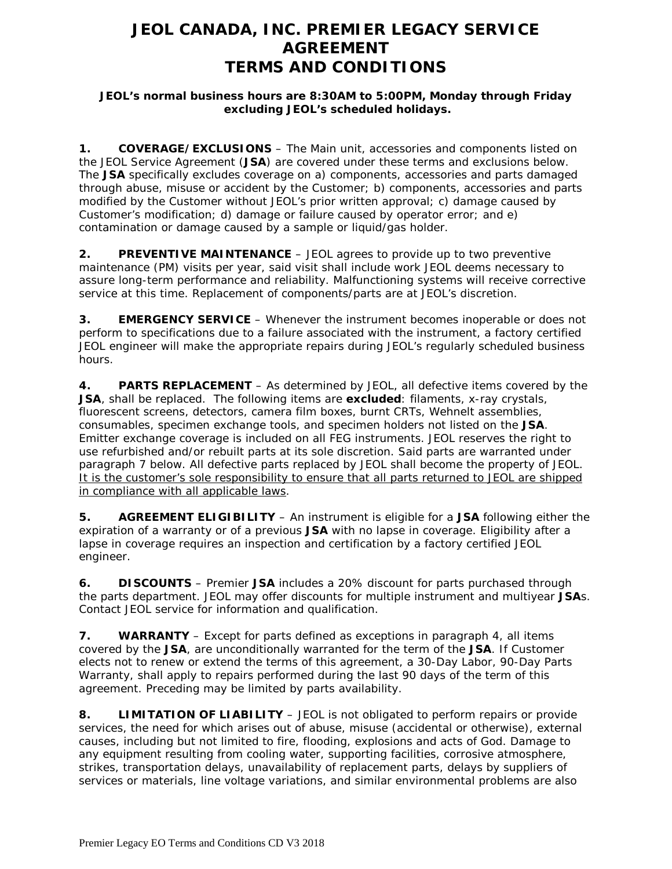# **JEOL CANADA, INC. PREMIER LEGACY SERVICE AGREEMENT TERMS AND CONDITIONS**

### **JEOL's normal business hours are 8:30AM to 5:00PM, Monday through Friday excluding JEOL's scheduled holidays.**

**1. COVERAGE/EXCLUSIONS** – The Main unit, accessories and components listed on the JEOL Service Agreement (**JSA**) are covered under these terms and exclusions below. The **JSA** specifically excludes coverage on a) components, accessories and parts damaged through abuse, misuse or accident by the Customer; b) components, accessories and parts modified by the Customer without JEOL's prior written approval; c) damage caused by Customer's modification; d) damage or failure caused by operator error; and e) contamination or damage caused by a sample or liquid/gas holder.

**2. PREVENTIVE MAINTENANCE** – JEOL agrees to provide up to two preventive maintenance (PM) visits per year, said visit shall include work JEOL deems necessary to assure long-term performance and reliability. Malfunctioning systems will receive corrective service at this time. Replacement of components/parts are at JEOL's discretion.

**3. EMERGENCY SERVICE** – Whenever the instrument becomes inoperable or does not perform to specifications due to a failure associated with the instrument, a factory certified JEOL engineer will make the appropriate repairs during JEOL's regularly scheduled business hours.

**4. PARTS REPLACEMENT** – As determined by JEOL, all defective items covered by the **JSA**, shall be replaced. The following items are **excluded**: filaments, x-ray crystals, fluorescent screens, detectors, camera film boxes, burnt CRTs, Wehnelt assemblies, consumables, specimen exchange tools, and specimen holders not listed on the **JSA**. Emitter exchange coverage is included on all FEG instruments. JEOL reserves the right to use refurbished and/or rebuilt parts at its sole discretion. Said parts are warranted under paragraph 7 below. All defective parts replaced by JEOL shall become the property of JEOL. It is the customer's sole responsibility to ensure that all parts returned to JEOL are shipped in compliance with all applicable laws.

**5. AGREEMENT ELIGIBILITY** – An instrument is eligible for a **JSA** following either the expiration of a warranty or of a previous **JSA** with no lapse in coverage. Eligibility after a lapse in coverage requires an inspection and certification by a factory certified JEOL engineer.

**6. DISCOUNTS** – Premier **JSA** includes a 20% discount for parts purchased through the parts department. JEOL may offer discounts for multiple instrument and multiyear **JSA**s. Contact JEOL service for information and qualification.

**7. WARRANTY** – Except for parts defined as exceptions in paragraph 4, all items covered by the **JSA**, are unconditionally warranted for the term of the **JSA**. If Customer elects not to renew or extend the terms of this agreement, a 30-Day Labor, 90-Day Parts Warranty, shall apply to repairs performed during the last 90 days of the term of this agreement. Preceding may be limited by parts availability.

**8. LIMITATION OF LIABILITY** – JEOL is not obligated to perform repairs or provide services, the need for which arises out of abuse, misuse (accidental or otherwise), external causes, including but not limited to fire, flooding, explosions and acts of God. Damage to any equipment resulting from cooling water, supporting facilities, corrosive atmosphere, strikes, transportation delays, unavailability of replacement parts, delays by suppliers of services or materials, line voltage variations, and similar environmental problems are also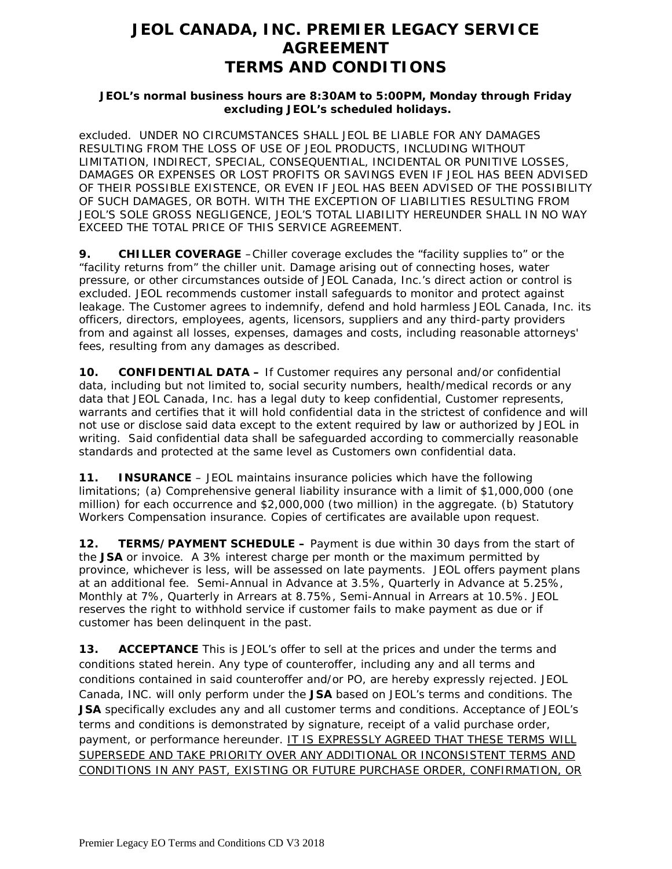# **JEOL CANADA, INC. PREMIER LEGACY SERVICE AGREEMENT TERMS AND CONDITIONS**

### **JEOL's normal business hours are 8:30AM to 5:00PM, Monday through Friday excluding JEOL's scheduled holidays.**

excluded. UNDER NO CIRCUMSTANCES SHALL JEOL BE LIABLE FOR ANY DAMAGES RESULTING FROM THE LOSS OF USE OF JEOL PRODUCTS, INCLUDING WITHOUT LIMITATION, INDIRECT, SPECIAL, CONSEQUENTIAL, INCIDENTAL OR PUNITIVE LOSSES, DAMAGES OR EXPENSES OR LOST PROFITS OR SAVINGS EVEN IF JEOL HAS BEEN ADVISED OF THEIR POSSIBLE EXISTENCE, OR EVEN IF JEOL HAS BEEN ADVISED OF THE POSSIBILITY OF SUCH DAMAGES, OR BOTH. WITH THE EXCEPTION OF LIABILITIES RESULTING FROM JEOL'S SOLE GROSS NEGLIGENCE, JEOL'S TOTAL LIABILITY HEREUNDER SHALL IN NO WAY EXCEED THE TOTAL PRICE OF THIS SERVICE AGREEMENT.

**9. CHILLER COVERAGE** –Chiller coverage excludes the "facility supplies to" or the "facility returns from" the chiller unit. Damage arising out of connecting hoses, water pressure, or other circumstances outside of JEOL Canada, Inc.'s direct action or control is excluded. JEOL recommends customer install safeguards to monitor and protect against leakage. The Customer agrees to indemnify, defend and hold harmless JEOL Canada, Inc. its officers, directors, employees, agents, licensors, suppliers and any third-party providers from and against all losses, expenses, damages and costs, including reasonable attorneys' fees, resulting from any damages as described.

**10. CONFIDENTIAL DATA –** If Customer requires any personal and/or confidential data, including but not limited to, social security numbers, health/medical records or any data that JEOL Canada, Inc. has a legal duty to keep confidential, Customer represents, warrants and certifies that it will hold confidential data in the strictest of confidence and will not use or disclose said data except to the extent required by law or authorized by JEOL in writing. Said confidential data shall be safeguarded according to commercially reasonable standards and protected at the same level as Customers own confidential data.

**11. INSURANCE** – JEOL maintains insurance policies which have the following limitations; (a) Comprehensive general liability insurance with a limit of \$1,000,000 (one million) for each occurrence and \$2,000,000 (two million) in the aggregate. (b) Statutory Workers Compensation insurance. Copies of certificates are available upon request.

**12. TERMS/PAYMENT SCHEDULE –** Payment is due within 30 days from the start of the **JSA** or invoice. A 3% interest charge per month or the maximum permitted by province, whichever is less, will be assessed on late payments. JEOL offers payment plans at an additional fee. Semi-Annual in Advance at 3.5%, Quarterly in Advance at 5.25%, Monthly at 7%, Quarterly in Arrears at 8.75%, Semi-Annual in Arrears at 10.5%. JEOL reserves the right to withhold service if customer fails to make payment as due or if customer has been delinquent in the past.

**13. ACCEPTANCE** This is JEOL's offer to sell at the prices and under the terms and conditions stated herein. Any type of counteroffer, including any and all terms and conditions contained in said counteroffer and/or PO, are hereby expressly rejected. JEOL Canada, INC. will only perform under the **JSA** based on JEOL's terms and conditions. The **JSA** specifically excludes any and all customer terms and conditions. Acceptance of JEOL's terms and conditions is demonstrated by signature, receipt of a valid purchase order, payment, or performance hereunder. IT IS EXPRESSLY AGREED THAT THESE TERMS WILL SUPERSEDE AND TAKE PRIORITY OVER ANY ADDITIONAL OR INCONSISTENT TERMS AND CONDITIONS IN ANY PAST, EXISTING OR FUTURE PURCHASE ORDER, CONFIRMATION, OR